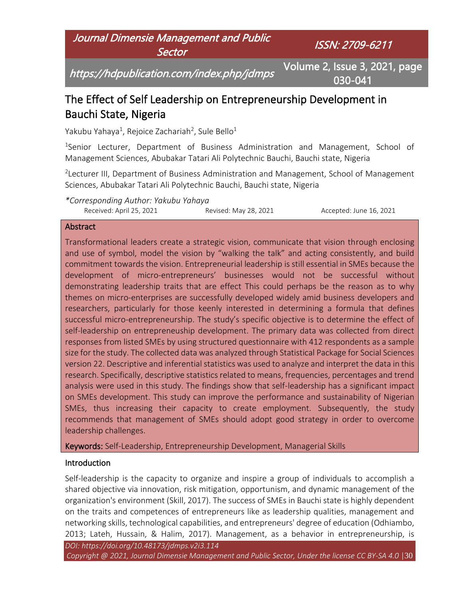Journal Dimensie Management and Public **Sector** 

ISSN: 2709-6211

https://hdpublication.com/index.php/jdmps

Volume 2, Issue 3, 2021, page 030-041

# The Effect of Self Leadership on Entrepreneurship Development in Bauchi State, Nigeria

Yakubu Yahaya $^1$ , Rejoice Zachariah<sup>2</sup>, Sule Bello $^1$ 

<sup>1</sup>Senior Lecturer, Department of Business Administration and Management, School of Management Sciences, Abubakar Tatari Ali Polytechnic Bauchi, Bauchi state, Nigeria

<sup>2</sup> Lecturer III, Department of Business Administration and Management, School of Management Sciences, Abubakar Tatari Ali Polytechnic Bauchi, Bauchi state, Nigeria

*\*Corresponding Author: Yakubu Yahaya* Received: April 25, 2021 **Revised: May 28, 2021 Accepted: June 16, 2021** 

#### **Abstract**

Transformational leaders create a strategic vision, communicate that vision through enclosing and use of symbol, model the vision by "walking the talk" and acting consistently, and build commitment towards the vision. Entrepreneurial leadership is still essential in SMEs because the development of micro-entrepreneurs' businesses would not be successful without demonstrating leadership traits that are effect This could perhaps be the reason as to why themes on micro-enterprises are successfully developed widely amid business developers and researchers, particularly for those keenly interested in determining a formula that defines successful micro-entrepreneurship. The study's specific objective is to determine the effect of self-leadership on entrepreneuship development. The primary data was collected from direct responses from listed SMEs by using structured questionnaire with 412 respondents as a sample size for the study. The collected data was analyzed through Statistical Package for Social Sciences version 22. Descriptive and inferential statistics was used to analyze and interpret the data in this research. Specifically, descriptive statistics related to means, frequencies, percentages and trend analysis were used in this study. The findings show that self-leadership has a significant impact on SMEs development. This study can improve the performance and sustainability of Nigerian SMEs, thus increasing their capacity to create employment. Subsequently, the study recommends that management of SMEs should adopt good strategy in order to overcome leadership challenges.

Keywords: Self-Leadership, Entrepreneurship Development, Managerial Skills

## **Introduction**

Self-leadership is the capacity to organize and inspire a group of individuals to accomplish a shared objective via innovation, risk mitigation, opportunism, and dynamic management of the organization's environment (Skill, 2017). The success of SMEs in Bauchi state is highly dependent on the traits and competences of entrepreneurs like as leadership qualities, management and networking skills, technological capabilities, and entrepreneurs' degree of education (Odhiambo, 2013; Lateh, Hussain, & Halim, 2017). Management, as a behavior in entrepreneurship, is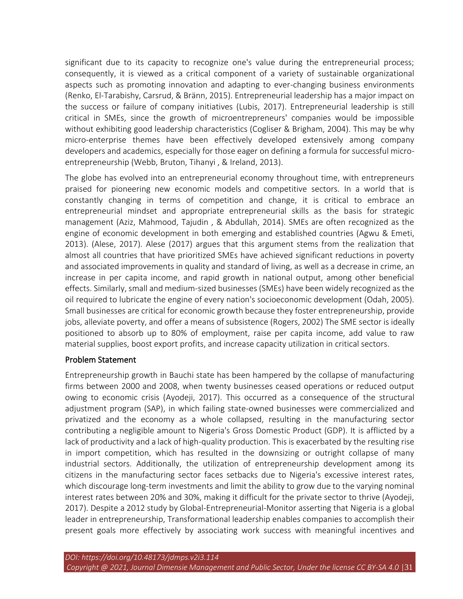significant due to its capacity to recognize one's value during the entrepreneurial process; consequently, it is viewed as a critical component of a variety of sustainable organizational aspects such as promoting innovation and adapting to ever-changing business environments (Renko, El-Tarabishy, Carsrud, & Bränn, 2015). Entrepreneurial leadership has a major impact on the success or failure of company initiatives (Lubis, 2017). Entrepreneurial leadership is still critical in SMEs, since the growth of microentrepreneurs' companies would be impossible without exhibiting good leadership characteristics (Cogliser & Brigham, 2004). This may be why micro-enterprise themes have been effectively developed extensively among company developers and academics, especially for those eager on defining a formula for successful microentrepreneurship (Webb, Bruton, Tihanyi , & Ireland, 2013).

The globe has evolved into an entrepreneurial economy throughout time, with entrepreneurs praised for pioneering new economic models and competitive sectors. In a world that is constantly changing in terms of competition and change, it is critical to embrace an entrepreneurial mindset and appropriate entrepreneurial skills as the basis for strategic management (Aziz, Mahmood, Tajudin , & Abdullah, 2014). SMEs are often recognized as the engine of economic development in both emerging and established countries (Agwu & Emeti, 2013). (Alese, 2017). Alese (2017) argues that this argument stems from the realization that almost all countries that have prioritized SMEs have achieved significant reductions in poverty and associated improvements in quality and standard of living, as well as a decrease in crime, an increase in per capita income, and rapid growth in national output, among other beneficial effects. Similarly, small and medium-sized businesses (SMEs) have been widely recognized as the oil required to lubricate the engine of every nation's socioeconomic development (Odah, 2005). Small businesses are critical for economic growth because they foster entrepreneurship, provide jobs, alleviate poverty, and offer a means of subsistence (Rogers, 2002) The SME sector is ideally positioned to absorb up to 80% of employment, raise per capita income, add value to raw material supplies, boost export profits, and increase capacity utilization in critical sectors.

#### Problem Statement

Entrepreneurship growth in Bauchi state has been hampered by the collapse of manufacturing firms between 2000 and 2008, when twenty businesses ceased operations or reduced output owing to economic crisis (Ayodeji, 2017). This occurred as a consequence of the structural adjustment program (SAP), in which failing state-owned businesses were commercialized and privatized and the economy as a whole collapsed, resulting in the manufacturing sector contributing a negligible amount to Nigeria's Gross Domestic Product (GDP). It is afflicted by a lack of productivity and a lack of high-quality production. This is exacerbated by the resulting rise in import competition, which has resulted in the downsizing or outright collapse of many industrial sectors. Additionally, the utilization of entrepreneurship development among its citizens in the manufacturing sector faces setbacks due to Nigeria's excessive interest rates, which discourage long-term investments and limit the ability to grow due to the varying nominal interest rates between 20% and 30%, making it difficult for the private sector to thrive (Ayodeji, 2017). Despite a 2012 study by Global-Entrepreneurial-Monitor asserting that Nigeria is a global leader in entrepreneurship, Transformational leadership enables companies to accomplish their present goals more effectively by associating work success with meaningful incentives and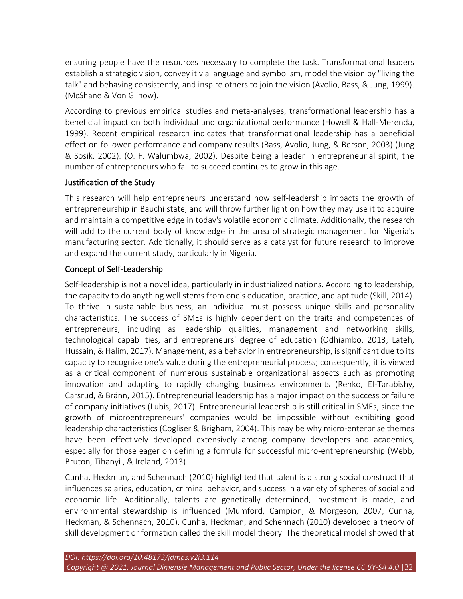ensuring people have the resources necessary to complete the task. Transformational leaders establish a strategic vision, convey it via language and symbolism, model the vision by "living the talk" and behaving consistently, and inspire others to join the vision (Avolio, Bass, & Jung, 1999). (McShane & Von Glinow).

According to previous empirical studies and meta-analyses, transformational leadership has a beneficial impact on both individual and organizational performance (Howell & Hall-Merenda, 1999). Recent empirical research indicates that transformational leadership has a beneficial effect on follower performance and company results (Bass, Avolio, Jung, & Berson, 2003) (Jung & Sosik, 2002). (O. F. Walumbwa, 2002). Despite being a leader in entrepreneurial spirit, the number of entrepreneurs who fail to succeed continues to grow in this age.

## Justification of the Study

This research will help entrepreneurs understand how self-leadership impacts the growth of entrepreneurship in Bauchi state, and will throw further light on how they may use it to acquire and maintain a competitive edge in today's volatile economic climate. Additionally, the research will add to the current body of knowledge in the area of strategic management for Nigeria's manufacturing sector. Additionally, it should serve as a catalyst for future research to improve and expand the current study, particularly in Nigeria.

# Concept of Self-Leadership

Self-leadership is not a novel idea, particularly in industrialized nations. According to leadership, the capacity to do anything well stems from one's education, practice, and aptitude (Skill, 2014). To thrive in sustainable business, an individual must possess unique skills and personality characteristics. The success of SMEs is highly dependent on the traits and competences of entrepreneurs, including as leadership qualities, management and networking skills, technological capabilities, and entrepreneurs' degree of education (Odhiambo, 2013; Lateh, Hussain, & Halim, 2017). Management, as a behavior in entrepreneurship, is significant due to its capacity to recognize one's value during the entrepreneurial process; consequently, it is viewed as a critical component of numerous sustainable organizational aspects such as promoting innovation and adapting to rapidly changing business environments (Renko, El-Tarabishy, Carsrud, & Bränn, 2015). Entrepreneurial leadership has a major impact on the success or failure of company initiatives (Lubis, 2017). Entrepreneurial leadership is still critical in SMEs, since the growth of microentrepreneurs' companies would be impossible without exhibiting good leadership characteristics (Cogliser & Brigham, 2004). This may be why micro-enterprise themes have been effectively developed extensively among company developers and academics, especially for those eager on defining a formula for successful micro-entrepreneurship (Webb, Bruton, Tihanyi , & Ireland, 2013).

Cunha, Heckman, and Schennach (2010) highlighted that talent is a strong social construct that influences salaries, education, criminal behavior, and success in a variety of spheres of social and economic life. Additionally, talents are genetically determined, investment is made, and environmental stewardship is influenced (Mumford, Campion, & Morgeson, 2007; Cunha, Heckman, & Schennach, 2010). Cunha, Heckman, and Schennach (2010) developed a theory of skill development or formation called the skill model theory. The theoretical model showed that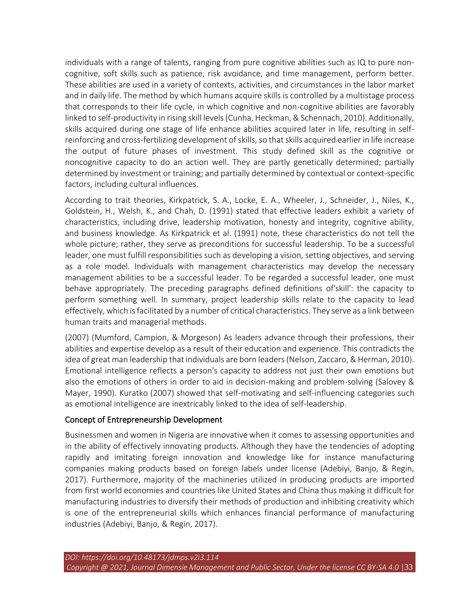individuals with a range of talents, ranging from pure cognitive abilities such as IQ to pure noncognitive, soft skills such as patience, risk avoidance, and time management, perform better. These abilities are used in a variety of contexts, activities, and circumstances in the labor market and in daily life. The method by which humans acquire skills is controlled by a multistage process that corresponds to their life cycle, in which cognitive and non-cognitive abilities are favorably linked to self-productivity in rising skill levels (Cunha, Heckman, & Schennach, 2010). Additionally, skills acquired during one stage of life enhance abilities acquired later in life, resulting in selfreinforcing and cross-fertilizing development of skills, so that skills acquired earlier in life increase the output of future phases of investment. This study defined skill as the cognitive or noncognitive capacity to do an action well. They are partly genetically determined; partially determined by investment or training; and partially determined by contextual or context-specific factors, including cultural influences.

According to trait theories, Kirkpatrick, S. A., Locke, E. A., Wheeler, J., Schneider, J., Niles, K., Goldstein, H., Welsh, K., and Chah, D. (1991) stated that effective leaders exhibit a variety of characteristics, including drive, leadership motivation, honesty and integrity, cognitive ability, and business knowledge. As Kirkpatrick et al. (1991) note, these characteristics do not tell the whole picture; rather, they serve as preconditions for successful leadership. To be a successful leader, one must fulfill responsibilities such as developing a vision, setting objectives, and serving as a role model. Individuals with management characteristics may develop the necessary management abilities to be a successful leader. To be regarded a successful leader, one must behave appropriately. The preceding paragraphs defined definitions of'skill': the capacity to perform something well. In summary, project leadership skills relate to the capacity to lead effectively, which is facilitated by a number of critical characteristics. They serve as a link between human traits and managerial methods.

(2007) (Mumford, Campion, & Morgeson) As leaders advance through their professions, their abilities and expertise develop as a result of their education and experience. This contradicts the idea of great man leadership that individuals are born leaders (Nelson, Zaccaro, & Herman, 2010). Emotional intelligence reflects a person's capacity to address not just their own emotions but also the emotions of others in order to aid in decision-making and problem-solving (Salovey & Mayer, 1990). Kuratko (2007) showed that self-motivating and self-influencing categories such as emotional intelligence are inextricably linked to the idea of self-leadership.

## Concept of Entrepreneurship Development

Businessmen and women in Nigeria are innovative when it comes to assessing opportunities and in the ability of effectively innovating products. Although they have the tendencies of adopting rapidly and imitating foreign innovation and knowledge like for instance manufacturing companies making products based on foreign labels under license (Adebiyi, Banjo, & Regin, 2017). Furthermore, majority of the machineries utilized in producing products are imported from first world economies and countries like United States and China thus making it difficult for manufacturing industries to diversify their methods of production and inhibiting creativity which is one of the entrepreneurial skills which enhances financial performance of manufacturing industries (Adebiyi, Banjo, & Regin, 2017).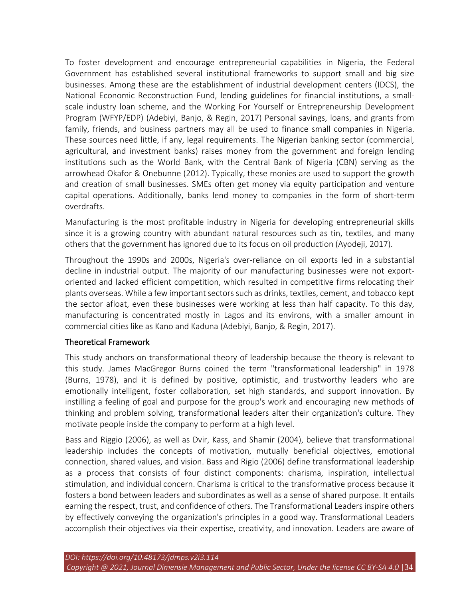To foster development and encourage entrepreneurial capabilities in Nigeria, the Federal Government has established several institutional frameworks to support small and big size businesses. Among these are the establishment of industrial development centers (IDCS), the National Economic Reconstruction Fund, lending guidelines for financial institutions, a smallscale industry loan scheme, and the Working For Yourself or Entrepreneurship Development Program (WFYP/EDP) (Adebiyi, Banjo, & Regin, 2017) Personal savings, loans, and grants from family, friends, and business partners may all be used to finance small companies in Nigeria. These sources need little, if any, legal requirements. The Nigerian banking sector (commercial, agricultural, and investment banks) raises money from the government and foreign lending institutions such as the World Bank, with the Central Bank of Nigeria (CBN) serving as the arrowhead Okafor & Onebunne (2012). Typically, these monies are used to support the growth and creation of small businesses. SMEs often get money via equity participation and venture capital operations. Additionally, banks lend money to companies in the form of short-term overdrafts.

Manufacturing is the most profitable industry in Nigeria for developing entrepreneurial skills since it is a growing country with abundant natural resources such as tin, textiles, and many others that the government has ignored due to its focus on oil production (Ayodeji, 2017).

Throughout the 1990s and 2000s, Nigeria's over-reliance on oil exports led in a substantial decline in industrial output. The majority of our manufacturing businesses were not exportoriented and lacked efficient competition, which resulted in competitive firms relocating their plants overseas. While a few important sectors such as drinks, textiles, cement, and tobacco kept the sector afloat, even these businesses were working at less than half capacity. To this day, manufacturing is concentrated mostly in Lagos and its environs, with a smaller amount in commercial cities like as Kano and Kaduna (Adebiyi, Banjo, & Regin, 2017).

## Theoretical Framework

This study anchors on transformational theory of leadership because the theory is relevant to this study. James MacGregor Burns coined the term "transformational leadership" in 1978 (Burns, 1978), and it is defined by positive, optimistic, and trustworthy leaders who are emotionally intelligent, foster collaboration, set high standards, and support innovation. By instilling a feeling of goal and purpose for the group's work and encouraging new methods of thinking and problem solving, transformational leaders alter their organization's culture. They motivate people inside the company to perform at a high level.

Bass and Riggio (2006), as well as Dvir, Kass, and Shamir (2004), believe that transformational leadership includes the concepts of motivation, mutually beneficial objectives, emotional connection, shared values, and vision. Bass and Rigio (2006) define transformational leadership as a process that consists of four distinct components: charisma, inspiration, intellectual stimulation, and individual concern. Charisma is critical to the transformative process because it fosters a bond between leaders and subordinates as well as a sense of shared purpose. It entails earning the respect, trust, and confidence of others. The Transformational Leaders inspire others by effectively conveying the organization's principles in a good way. Transformational Leaders accomplish their objectives via their expertise, creativity, and innovation. Leaders are aware of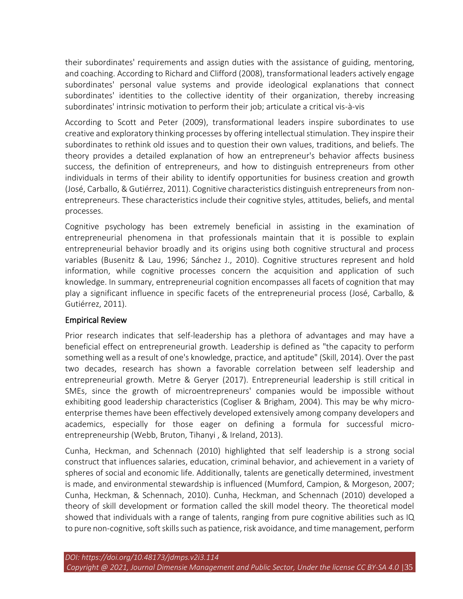their subordinates' requirements and assign duties with the assistance of guiding, mentoring, and coaching. According to Richard and Clifford (2008), transformational leaders actively engage subordinates' personal value systems and provide ideological explanations that connect subordinates' identities to the collective identity of their organization, thereby increasing subordinates' intrinsic motivation to perform their job; articulate a critical vis-à-vis

According to Scott and Peter (2009), transformational leaders inspire subordinates to use creative and exploratory thinking processes by offering intellectual stimulation. They inspire their subordinates to rethink old issues and to question their own values, traditions, and beliefs. The theory provides a detailed explanation of how an entrepreneur's behavior affects business success, the definition of entrepreneurs, and how to distinguish entrepreneurs from other individuals in terms of their ability to identify opportunities for business creation and growth (José, Carballo, & Gutiérrez, 2011). Cognitive characteristics distinguish entrepreneurs from nonentrepreneurs. These characteristics include their cognitive styles, attitudes, beliefs, and mental processes.

Cognitive psychology has been extremely beneficial in assisting in the examination of entrepreneurial phenomena in that professionals maintain that it is possible to explain entrepreneurial behavior broadly and its origins using both cognitive structural and process variables (Busenitz & Lau, 1996; Sánchez J., 2010). Cognitive structures represent and hold information, while cognitive processes concern the acquisition and application of such knowledge. In summary, entrepreneurial cognition encompasses all facets of cognition that may play a significant influence in specific facets of the entrepreneurial process (José, Carballo, & Gutiérrez, 2011).

# Empirical Review

Prior research indicates that self-leadership has a plethora of advantages and may have a beneficial effect on entrepreneurial growth. Leadership is defined as "the capacity to perform something well as a result of one's knowledge, practice, and aptitude" (Skill, 2014). Over the past two decades, research has shown a favorable correlation between self leadership and entrepreneurial growth. Metre & Geryer (2017). Entrepreneurial leadership is still critical in SMEs, since the growth of microentrepreneurs' companies would be impossible without exhibiting good leadership characteristics (Cogliser & Brigham, 2004). This may be why microenterprise themes have been effectively developed extensively among company developers and academics, especially for those eager on defining a formula for successful microentrepreneurship (Webb, Bruton, Tihanyi , & Ireland, 2013).

Cunha, Heckman, and Schennach (2010) highlighted that self leadership is a strong social construct that influences salaries, education, criminal behavior, and achievement in a variety of spheres of social and economic life. Additionally, talents are genetically determined, investment is made, and environmental stewardship is influenced (Mumford, Campion, & Morgeson, 2007; Cunha, Heckman, & Schennach, 2010). Cunha, Heckman, and Schennach (2010) developed a theory of skill development or formation called the skill model theory. The theoretical model showed that individuals with a range of talents, ranging from pure cognitive abilities such as IQ to pure non-cognitive, soft skills such as patience, risk avoidance, and time management, perform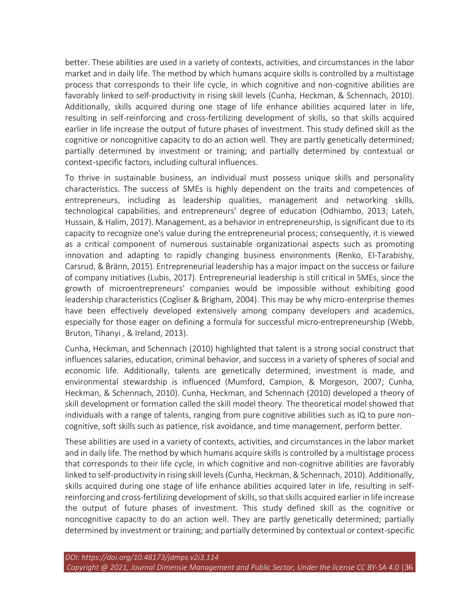better. These abilities are used in a variety of contexts, activities, and circumstances in the labor market and in daily life. The method by which humans acquire skills is controlled by a multistage process that corresponds to their life cycle, in which cognitive and non-cognitive abilities are favorably linked to self-productivity in rising skill levels (Cunha, Heckman, & Schennach, 2010). Additionally, skills acquired during one stage of life enhance abilities acquired later in life, resulting in self-reinforcing and cross-fertilizing development of skills, so that skills acquired earlier in life increase the output of future phases of investment. This study defined skill as the cognitive or noncognitive capacity to do an action well. They are partly genetically determined; partially determined by investment or training; and partially determined by contextual or context-specific factors, including cultural influences.

To thrive in sustainable business, an individual must possess unique skills and personality characteristics. The success of SMEs is highly dependent on the traits and competences of entrepreneurs, including as leadership qualities, management and networking skills, technological capabilities, and entrepreneurs' degree of education (Odhiambo, 2013; Lateh, Hussain, & Halim, 2017). Management, as a behavior in entrepreneurship, is significant due to its capacity to recognize one's value during the entrepreneurial process; consequently, it is viewed as a critical component of numerous sustainable organizational aspects such as promoting innovation and adapting to rapidly changing business environments (Renko, El-Tarabishy, Carsrud, & Bränn, 2015). Entrepreneurial leadership has a major impact on the success or failure of company initiatives (Lubis, 2017). Entrepreneurial leadership is still critical in SMEs, since the growth of microentrepreneurs' companies would be impossible without exhibiting good leadership characteristics (Cogliser & Brigham, 2004). This may be why micro-enterprise themes have been effectively developed extensively among company developers and academics, especially for those eager on defining a formula for successful micro-entrepreneurship (Webb, Bruton, Tihanyi , & Ireland, 2013).

Cunha, Heckman, and Schennach (2010) highlighted that talent is a strong social construct that influences salaries, education, criminal behavior, and success in a variety of spheres of social and economic life. Additionally, talents are genetically determined, investment is made, and environmental stewardship is influenced (Mumford, Campion, & Morgeson, 2007; Cunha, Heckman, & Schennach, 2010). Cunha, Heckman, and Schennach (2010) developed a theory of skill development or formation called the skill model theory. The theoretical model showed that individuals with a range of talents, ranging from pure cognitive abilities such as IQ to pure noncognitive, soft skills such as patience, risk avoidance, and time management, perform better.

These abilities are used in a variety of contexts, activities, and circumstances in the labor market and in daily life. The method by which humans acquire skills is controlled by a multistage process that corresponds to their life cycle, in which cognitive and non-cognitive abilities are favorably linked to self-productivity in rising skill levels (Cunha, Heckman, & Schennach, 2010). Additionally, skills acquired during one stage of life enhance abilities acquired later in life, resulting in selfreinforcing and cross-fertilizing development of skills, so that skills acquired earlier in life increase the output of future phases of investment. This study defined skill as the cognitive or noncognitive capacity to do an action well. They are partly genetically determined; partially determined by investment or training; and partially determined by contextual or context-specific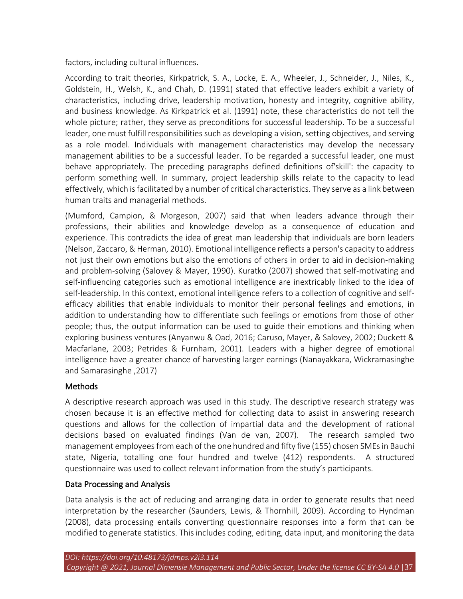factors, including cultural influences.

According to trait theories, Kirkpatrick, S. A., Locke, E. A., Wheeler, J., Schneider, J., Niles, K., Goldstein, H., Welsh, K., and Chah, D. (1991) stated that effective leaders exhibit a variety of characteristics, including drive, leadership motivation, honesty and integrity, cognitive ability, and business knowledge. As Kirkpatrick et al. (1991) note, these characteristics do not tell the whole picture; rather, they serve as preconditions for successful leadership. To be a successful leader, one must fulfill responsibilities such as developing a vision, setting objectives, and serving as a role model. Individuals with management characteristics may develop the necessary management abilities to be a successful leader. To be regarded a successful leader, one must behave appropriately. The preceding paragraphs defined definitions of'skill': the capacity to perform something well. In summary, project leadership skills relate to the capacity to lead effectively, which is facilitated by a number of critical characteristics. They serve as a link between human traits and managerial methods.

(Mumford, Campion, & Morgeson, 2007) said that when leaders advance through their professions, their abilities and knowledge develop as a consequence of education and experience. This contradicts the idea of great man leadership that individuals are born leaders (Nelson, Zaccaro, & Herman, 2010). Emotional intelligence reflects a person's capacity to address not just their own emotions but also the emotions of others in order to aid in decision-making and problem-solving (Salovey & Mayer, 1990). Kuratko (2007) showed that self-motivating and self-influencing categories such as emotional intelligence are inextricably linked to the idea of self-leadership. In this context, emotional intelligence refers to a collection of cognitive and selfefficacy abilities that enable individuals to monitor their personal feelings and emotions, in addition to understanding how to differentiate such feelings or emotions from those of other people; thus, the output information can be used to guide their emotions and thinking when exploring business ventures (Anyanwu & Oad, 2016; Caruso, Mayer, & Salovey, 2002; Duckett & Macfarlane, 2003; Petrides & Furnham, 2001). Leaders with a higher degree of emotional intelligence have a greater chance of harvesting larger earnings (Nanayakkara, Wickramasinghe and Samarasinghe ,2017)

# **Methods**

A descriptive research approach was used in this study. The descriptive research strategy was chosen because it is an effective method for collecting data to assist in answering research questions and allows for the collection of impartial data and the development of rational decisions based on evaluated findings (Van de van, 2007). The research sampled two management employees from each of the one hundred and fifty five (155) chosen SMEs in Bauchi state, Nigeria, totalling one four hundred and twelve (412) respondents. A structured questionnaire was used to collect relevant information from the study's participants.

## Data Processing and Analysis

Data analysis is the act of reducing and arranging data in order to generate results that need interpretation by the researcher (Saunders, Lewis, & Thornhill, 2009). According to Hyndman (2008), data processing entails converting questionnaire responses into a form that can be modified to generate statistics. This includes coding, editing, data input, and monitoring the data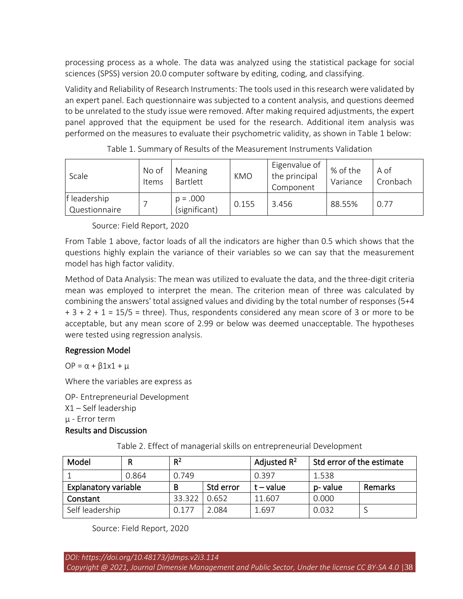processing process as a whole. The data was analyzed using the statistical package for social sciences (SPSS) version 20.0 computer software by editing, coding, and classifying.

Validity and Reliability of Research Instruments: The tools used in this research were validated by an expert panel. Each questionnaire was subjected to a content analysis, and questions deemed to be unrelated to the study issue were removed. After making required adjustments, the expert panel approved that the equipment be used for the research. Additional item analysis was performed on the measures to evaluate their psychometric validity, as shown in Table 1 below:

| Scale                         | No of<br>Items | Meaning<br>Bartlett         | <b>KMO</b> | Eigenvalue of<br>the principal<br>Component | % of the<br>Variance | A of<br>Cronbach |
|-------------------------------|----------------|-----------------------------|------------|---------------------------------------------|----------------------|------------------|
| f leadership<br>Questionnaire |                | $p = .000$<br>(significant) | 0.155      | 3.456                                       | 88.55%               | 0.77             |

|  |  | Table 1. Summary of Results of the Measurement Instruments Validation |  |
|--|--|-----------------------------------------------------------------------|--|
|  |  |                                                                       |  |

Source: Field Report, 2020

From Table 1 above, factor loads of all the indicators are higher than 0.5 which shows that the questions highly explain the variance of their variables so we can say that the measurement model has high factor validity.

Method of Data Analysis: The mean was utilized to evaluate the data, and the three-digit criteria mean was employed to interpret the mean. The criterion mean of three was calculated by combining the answers' total assigned values and dividing by the total number of responses (5+4  $+ 3 + 2 + 1 = 15/5$  = three). Thus, respondents considered any mean score of 3 or more to be acceptable, but any mean score of 2.99 or below was deemed unacceptable. The hypotheses were tested using regression analysis.

## Regression Model

OP =  $\alpha$  +  $\beta$ 1x1 + μ

Where the variables are express as

OP- Entrepreneurial Development

X1 – Self leadership

µ - Error term

# Results and Discussion

Table 2. Effect of managerial skills on entrepreneurial Development

| Model                       |  | $R^2$  |           | Adjusted $R^2$ | Std error of the estimate |         |
|-----------------------------|--|--------|-----------|----------------|---------------------------|---------|
| 0.864                       |  | 0.749  |           | 0.397          | 1.538                     |         |
| <b>Explanatory variable</b> |  | B      | Std error | $t - value$    | p-value                   | Remarks |
| Constant                    |  | 33.322 | 0.652     | 11.607         | 0.000                     |         |
| Self leadership             |  | 0.177  | 2.084     | 1.697          | 0.032                     |         |

Source: Field Report, 2020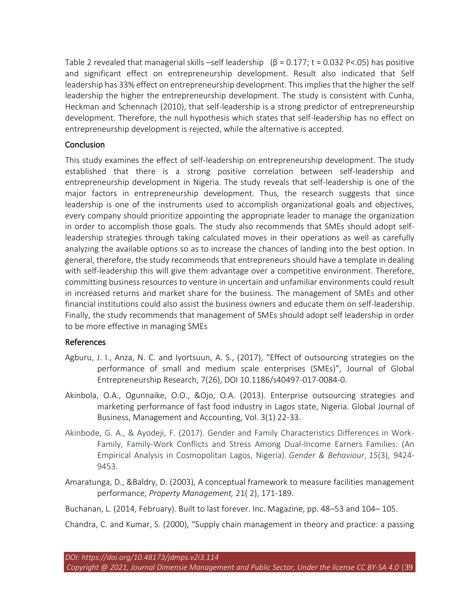Table 2 revealed that managerial skills –self leadership ( $\beta$  = 0.177; t = 0.032 P<.05) has positive and significant effect on entrepreneurship development. Result also indicated that Self leadership has 33% effect on entrepreneurship development. This implies that the higher the self leadership the higher the entrepreneurship development. The study is consistent with Cunha, Heckman and Schennach (2010), that self-leadership is a strong predictor of entrepreneurship development. Therefore, the null hypothesis which states that self-leadership has no effect on entrepreneurship development is rejected, while the alternative is accepted.

#### Conclusion

This study examines the effect of self-leadership on entrepreneurship development. The study established that there is a strong positive correlation between self-leadership and entrepreneurship development in Nigeria. The study reveals that self-leadership is one of the major factors in entrepreneurship development. Thus, the research suggests that since leadership is one of the instruments used to accomplish organizational goals and objectives, every company should prioritize appointing the appropriate leader to manage the organization in order to accomplish those goals. The study also recommends that SMEs should adopt selfleadership strategies through taking calculated moves in their operations as well as carefully analyzing the available options so as to increase the chances of landing into the best option. In general, therefore, the study recommends that entrepreneurs should have a template in dealing with self-leadership this will give them advantage over a competitive environment. Therefore, committing business resources to venture in uncertain and unfamiliar environments could result in increased returns and market share for the business. The management of SMEs and other financial institutions could also assist the business owners and educate them on self-leadership. Finally, the study recommends that management of SMEs should adopt self leadership in order to be more effective in managing SMEs

#### References

- Agburu, J. I., Anza, N. C. and Iyortsuun, A. S., (2017), "Effect of outsourcing strategies on the performance of small and medium scale enterprises (SMEs)", Journal of Global Entrepreneurship Research, 7(26), DOI 10.1186/s40497-017-0084-0.
- Akinbola, O.A., Ogunnaike, O.O., &Ojo, O.A. (2013). Enterprise outsourcing strategies and marketing performance of fast food industry in Lagos state, Nigeria. Global Journal of Business, Management and Accounting, Vol. 3(1) 22-33.
- Akinbode, G. A., & Ayodeji, F. (2017). Gender and Family Characteristics Differences in Work-Family, Family-Work Conflicts and Stress Among Dual-Income Earners Families: (An Empirical Analysis in Cosmopolitan Lagos, Nigeria). *Gender & Behaviour*, *15*(3), 9424- 9453.
- Amaratunga, D., &Baldry, D. (2003), A conceptual framework to measure facilities management performance, *Property Management,* 21( 2), 171-189.

Buchanan, L. (2014, February). Built to last forever. Inc. Magazine, pp. 48–53 and 104– 105.

Chandra, C. and Kumar, S. (2000), "Supply chain management in theory and practice: a passing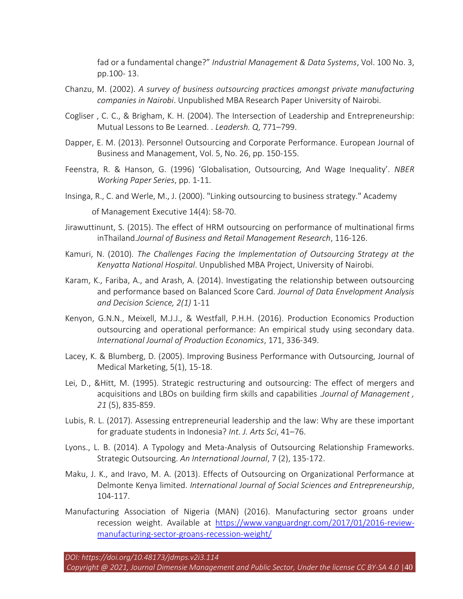fad or a fundamental change?" *Industrial Management & Data Systems*, Vol. 100 No. 3, pp.100- 13.

- Chanzu, M. (2002). *A survey of business outsourcing practices amongst private manufacturing companies in Nairobi*. Unpublished MBA Research Paper University of Nairobi.
- Cogliser , C. C., & Brigham, K. H. (2004). The Intersection of Leadership and Entrepreneurship: Mutual Lessons to Be Learned. . *Leadersh. Q*, 771–799.
- Dapper, E. M. (2013). Personnel Outsourcing and Corporate Performance. European Journal of Business and Management, Vol. 5, No. 26, pp. 150-155.
- Feenstra, R. & Hanson, G. (1996) 'Globalisation, Outsourcing, And Wage Inequality'. *NBER Working Paper Series*, pp. 1-11.
- Insinga, R., C. and Werle, M., J. (2000). "Linking outsourcing to business strategy." Academy of Management Executive 14(4): 58-70.
- Jirawuttinunt, S. (2015). The effect of HRM outsourcing on performance of multinational firms inThailand.*Journal of Business and Retail Management Research*, 116-126.
- Kamuri, N. (2010). *The Challenges Facing the Implementation of Outsourcing Strategy at the Kenyatta National Hospital*. Unpublished MBA Project, University of Nairobi.
- Karam, K., Fariba, A., and Arash, A. (2014). Investigating the relationship between outsourcing and performance based on Balanced Score Card. *Journal of Data Envelopment Analysis and Decision Science, 2(1)* 1-11
- Kenyon, G.N.N., Meixell, M.J.J., & Westfall, P.H.H. (2016). Production Economics Production outsourcing and operational performance: An empirical study using secondary data. *International Journal of Production Economics*, 171, 336-349.
- Lacey, K. & Blumberg, D. (2005). Improving Business Performance with Outsourcing, Journal of Medical Marketing, 5(1), 15-18.
- Lei, D., &Hitt, M. (1995). Strategic restructuring and outsourcing: The effect of mergers and acquisitions and LBOs on building firm skills and capabilities .*Journal of Management , 21* (5), 835‐859.
- Lubis, R. L. (2017). Assessing entrepreneurial leadership and the law: Why are these important for graduate students in Indonesia? *Int. J. Arts Sci*, 41–76.
- Lyons., L. B. (2014). A Typology and Meta-Analysis of Outsourcing Relationship Frameworks. Strategic Outsourcing. *An International Journal*, 7 (2), 135-172.
- Maku, J. K., and Iravo, M. A. (2013). Effects of Outsourcing on Organizational Performance at Delmonte Kenya limited. *International Journal of Social Sciences and Entrepreneurship*, 104-117.
- Manufacturing Association of Nigeria (MAN) (2016). Manufacturing sector groans under recession weight. Available at [https://www.vanguardngr.com/2017/01/2016-review](https://www.vanguardngr.com/2017/01/2016-review-manufacturing-sector-groans-recession-weight/)[manufacturing-sector-groans-recession-weight/](https://www.vanguardngr.com/2017/01/2016-review-manufacturing-sector-groans-recession-weight/)

*DOI: https://doi.org/10.48173/jdmps.v2i3.114*

*Copyright @ 2021, Journal Dimensie Management and Public Sector, Under the license CC BY-SA 4.0* |40